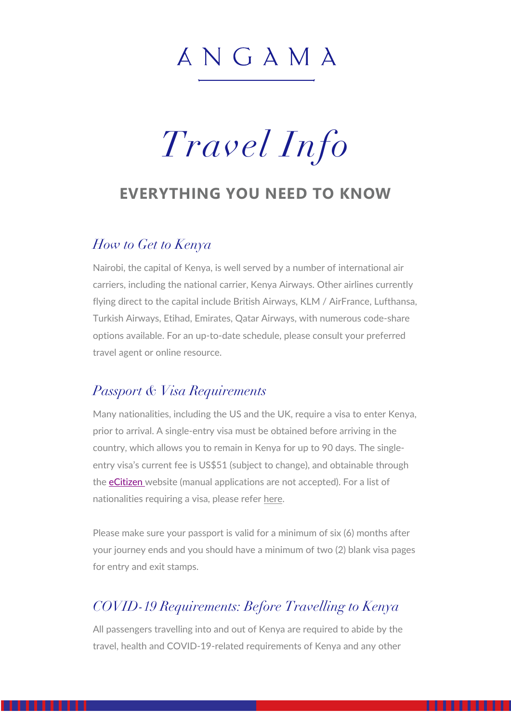# ANGAMA

# *Travel Info*

#### **EVERYTHING YOU NEED TO KNOW**

#### *How to Get to Kenya*

Nairobi, the capital of Kenya, is well served by a number of international air carriers, including the national carrier, Kenya Airways. Other airlines currently flying direct to the capital include British Airways, KLM / AirFrance, Lufthansa, Turkish Airways, Etihad, Emirates, Qatar Airways, with numerous code-share options available. For an up-to-date schedule, please consult your preferred travel agent or online resource.

#### *Passport & Visa Requirements*

Many nationalities, including the US and the UK, require a visa to enter Kenya, prior to arrival. A single-entry visa must be obtained before arriving in the country, which allows you to remain in Kenya for up to 90 days. The singleentry visa's current fee is US\$51 (subject to change), and obtainable through the eCitizen website (manual applications are not accepted). For a list of nationalities requiring a visa, please refer here.

Please make sure your passport is valid for a minimum of six (6) months after your journey ends and you should have a minimum of two (2) blank visa pages for entry and exit stamps.

#### *COVID-19 Requirements: Before Travelling to Kenya*

All passengers travelling into and out of Kenya are required to abide by the travel, health and COVID-19-related requirements of Kenya and any other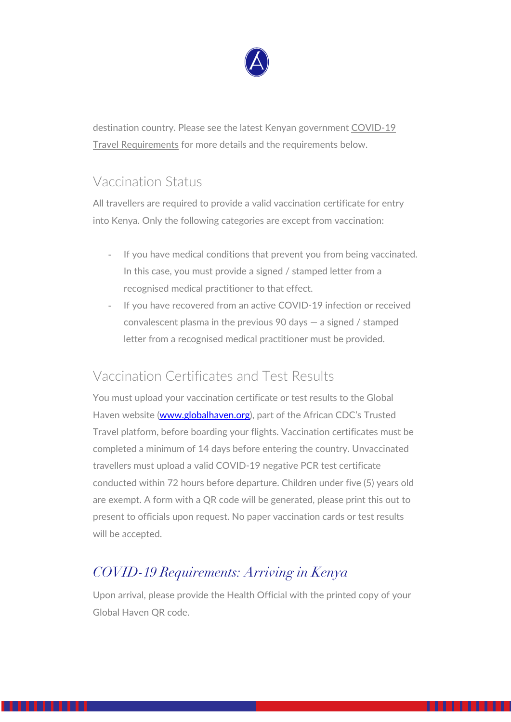

destination country. Please see the latest Kenyan government COVID-19 Travel Requirements for more details and the requirements below.

#### Vaccination Status

All travellers are required to provide a valid vaccination certificate for entry into Kenya. Only the following categories are except from vaccination:

- If you have medical conditions that prevent you from being vaccinated. In this case, you must provide a signed / stamped letter from a recognised medical practitioner to that effect.
- If you have recovered from an active COVID-19 infection or received convalescent plasma in the previous 90 days — a signed / stamped letter from a recognised medical practitioner must be provided.

#### Vaccination Certificates and Test Results

You must upload your vaccination certificate or test results to the Global Haven website (www.globalhaven.org), part of the African CDC's Trusted Travel platform, before boarding your flights. Vaccination certificates must be completed a minimum of 14 days before entering the country. Unvaccinated travellers must upload a valid COVID-19 negative PCR test certificate conducted within 72 hours before departure. Children under five (5) years old are exempt. A form with a QR code will be generated, please print this out to present to officials upon request. No paper vaccination cards or test results will be accepted.

# *COVID-19 Requirements: Arriving in Kenya*

Upon arrival, please provide the Health Official with the printed copy of your Global Haven QR code.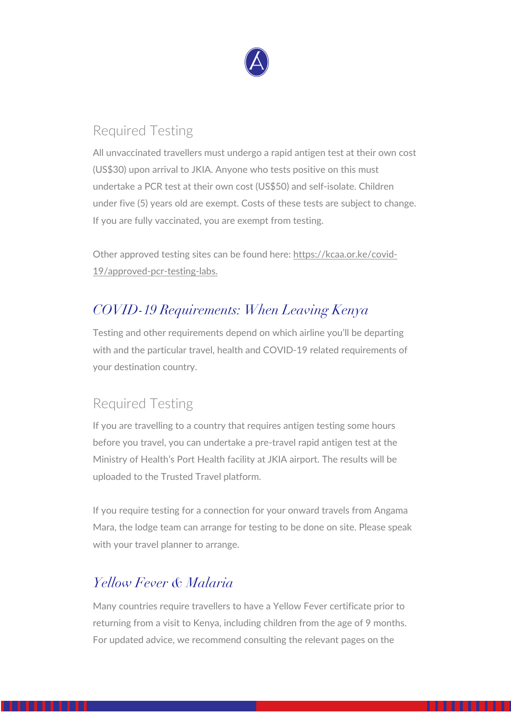

#### Required Testing

All unvaccinated travellers must undergo a rapid antigen test at their own cost (US\$30) upon arrival to JKIA. Anyone who tests positive on this must undertake a PCR test at their own cost (US\$50) and self-isolate. Children under five (5) years old are exempt. Costs of these tests are subject to change. If you are fully vaccinated, you are exempt from testing.

Other approved testing sites can be found here: https://kcaa.or.ke/covid-19/approved-pcr-testing-labs.

## *COVID-19 Requirements: When Leaving Kenya*

Testing and other requirements depend on which airline you'll be departing with and the particular travel, health and COVID-19 related requirements of your destination country.

#### Required Testing

If you are travelling to a country that requires antigen testing some hours before you travel, you can undertake a pre-travel rapid antigen test at the Ministry of Health's Port Health facility at JKIA airport. The results will be uploaded to the Trusted Travel platform.

If you require testing for a connection for your onward travels from Angama Mara, the lodge team can arrange for testing to be done on site. Please speak with your travel planner to arrange.

#### *Yellow Fever & Malaria*

Many countries require travellers to have a Yellow Fever certificate prior to returning from a visit to Kenya, including children from the age of 9 months. For updated advice, we recommend consulting the relevant pages on the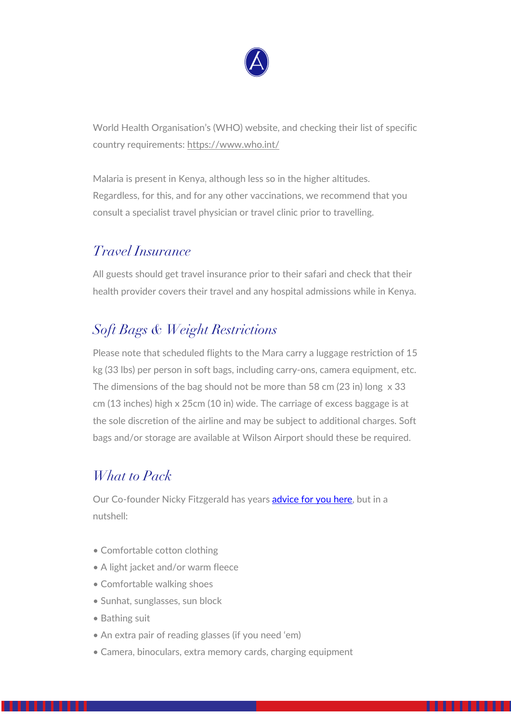

World Health Organisation's (WHO) website, and checking their list of specific country requirements: https://www.who.int/

Malaria is present in Kenya, although less so in the higher altitudes. Regardless, for this, and for any other vaccinations, we recommend that you consult a specialist travel physician or travel clinic prior to travelling.

#### *Travel Insurance*

All guests should get travel insurance prior to their safari and check that their health provider covers their travel and any hospital admissions while in Kenya.

### *Soft Bags & Weight Restrictions*

Please note that scheduled flights to the Mara carry a luggage restriction of 15 kg (33 lbs) per person in soft bags, including carry-ons, camera equipment, etc. The dimensions of the bag should not be more than 58 cm (23 in) long x 33 cm (13 inches) high x 25cm (10 in) wide. The carriage of excess baggage is at the sole discretion of the airline and may be subject to additional charges. Soft bags and/or storage are available at Wilson Airport should these be required.

#### *What to Pack*

Our Co-founder Nicky Fitzgerald has years **advice for you here**, but in a nutshell:

- Comfortable cotton clothing
- A light jacket and/or warm fleece
- Comfortable walking shoes
- Sunhat, sunglasses, sun block
- Bathing suit
- An extra pair of reading glasses (if you need 'em)
- Camera, binoculars, extra memory cards, charging equipment